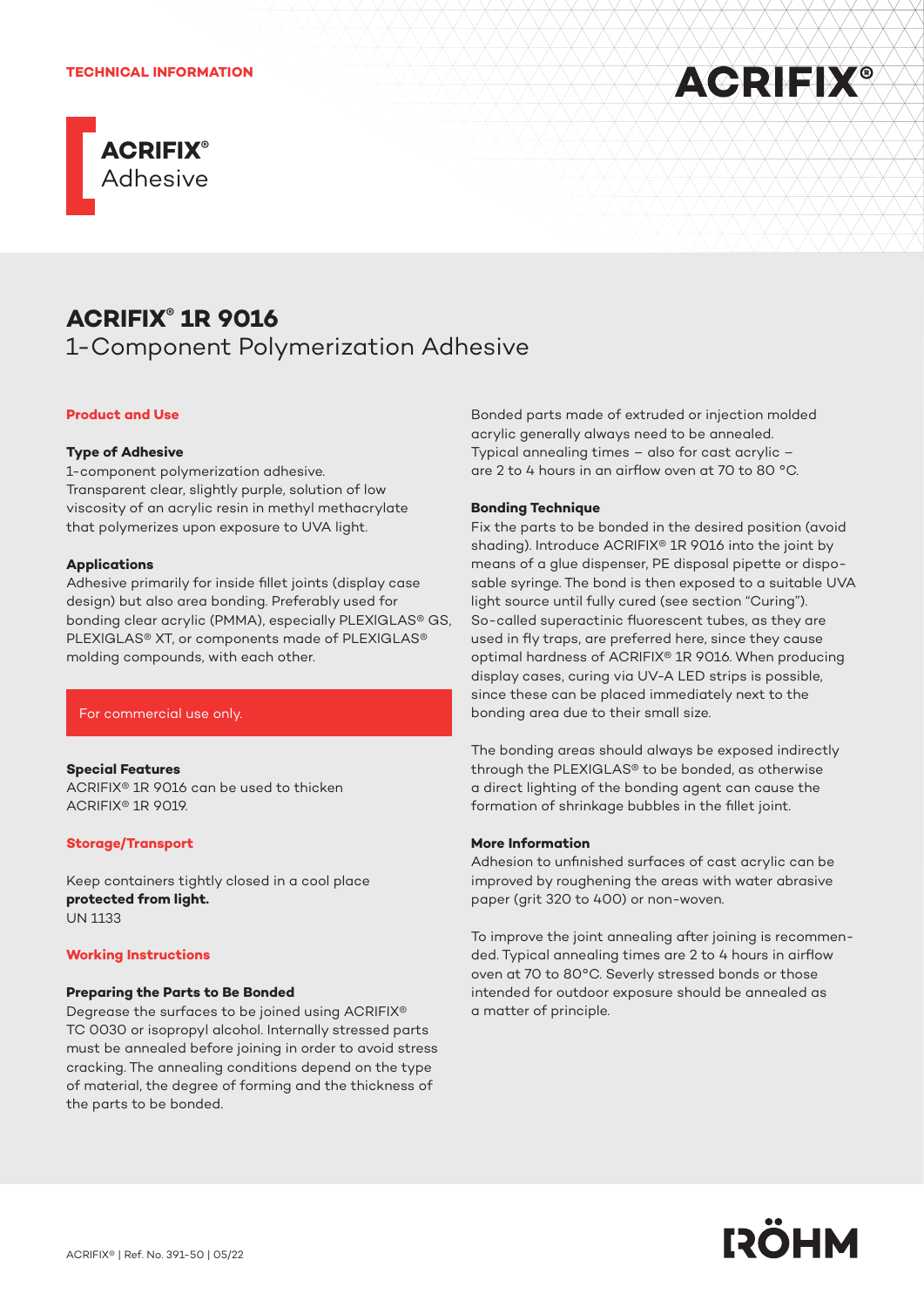



# **ACRIFIX® 1R 9016**

1-Component Polymerization Adhesive

## **Product and Use**

#### **Type of Adhesive**

1-component polymerization adhesive. Transparent clear, slightly purple, solution of low viscosity of an acrylic resin in methyl methacrylate that polymerizes upon exposure to UVA light.

#### **Applications**

Adhesive primarily for inside fillet joints (display case design) but also area bonding. Preferably used for bonding clear acrylic (PMMA), especially PLEXlGLAS® GS, PLEXlGLAS® XT, or components made of PLEXlGLAS® molding compounds, with each other.

#### For commercial use only.

#### **Special Features**

ACRIFIX® 1R 9016 can be used to thicken ACRIFIX® 1R 9019.

#### **Storage/Transport**

Keep containers tightly closed in a cool place **protected from light.** UN 1133

#### **Working Instructions**

#### **Preparing the Parts to Be Bonded**

Degrease the surfaces to be joined using ACRIFIX® TC 0030 or isopropyl alcohol. Internally stressed parts must be annealed before joining in order to avoid stress cracking. The annealing conditions depend on the type of material, the degree of forming and the thickness of the parts to be bonded.

Bonded parts made of extruded or injection molded acrylic generally always need to be annealed. Typical annealing times – also for cast acrylic – are 2 to 4 hours in an airflow oven at 70 to 80 °C.

#### **Bonding Technique**

Fix the parts to be bonded in the desired position (avoid shading). Introduce ACRIFIX® 1R 9016 into the joint by means of a glue dispenser, PE disposal pipette or disposable syringe. The bond is then exposed to a suitable UVA light source until fully cured (see section "Curing"). So-called superactinic fluorescent tubes, as they are used in fly traps, are preferred here, since they cause optimal hardness of ACRIFIX® 1R 9016. When producing display cases, curing via UV-A LED strips is possible, since these can be placed immediately next to the bonding area due to their small size.

The bonding areas should always be exposed indirectly through the PLEXIGLAS® to be bonded, as otherwise a direct lighting of the bonding agent can cause the formation of shrinkage bubbles in the fillet joint.

#### **More Information**

Adhesion to unfinished surfaces of cast acrylic can be improved by roughening the areas with water abrasive paper (grit 320 to 400) or non-woven.

To improve the joint annealing after joining is recommended. Typical annealing times are 2 to 4 hours in airflow oven at 70 to 80°C. Severly stressed bonds or those intended for outdoor exposure should be annealed as a matter of principle.

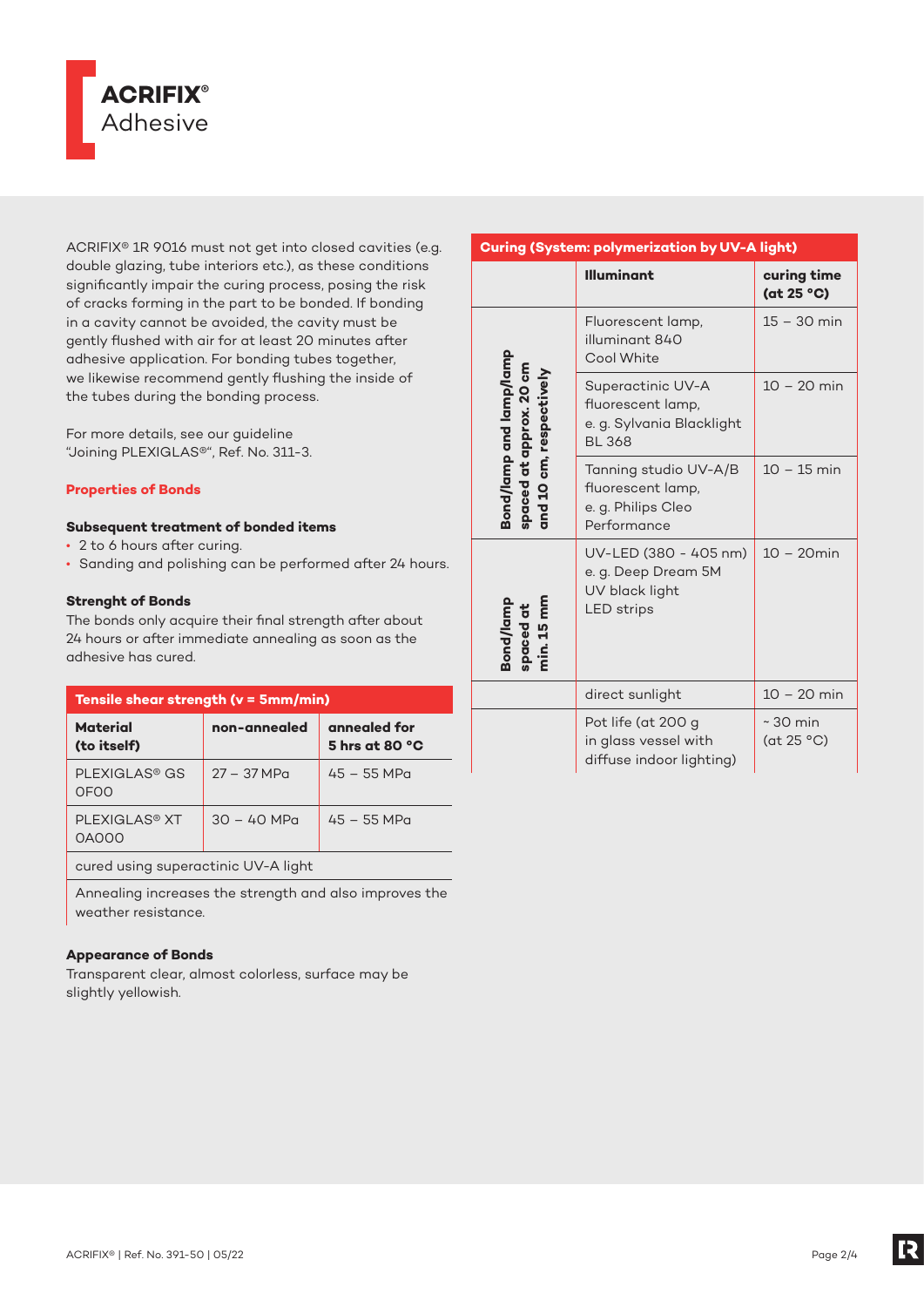

ACRIFIX® 1R 9016 must not get into closed cavities (e.g. double glazing, tube interiors etc.), as these conditions significantly impair the curing process, posing the risk of cracks forming in the part to be bonded. If bonding in a cavity cannot be avoided, the cavity must be gently flushed with air for at least 20 minutes after adhesive application. For bonding tubes together, we likewise recommend gently flushing the inside of the tubes during the bonding process.

For more details, see our guideline "Joining PLEXIGLAS®", Ref. No. 311-3.

# **Properties of Bonds**

## **Subsequent treatment of bonded items**

- 2 to 6 hours after curing.
- Sanding and polishing can be performed after 24 hours.

# **Strenght of Bonds**

The bonds only acquire their final strength after about 24 hours or after immediate annealing as soon as the adhesive has cured.

| Tensile shear strength (v = 5mm/min)     |               |                                          |  |
|------------------------------------------|---------------|------------------------------------------|--|
| <b>Material</b><br>(to itself)           | non-annealed  | annealed for<br>5 hrs at 80 $^{\circ}$ C |  |
| PLEXIGLAS <sup>®</sup> GS<br><b>OFOO</b> | $27 - 37 MPa$ | $45 - 55$ MPa                            |  |
| PI FXIGI AS <sup>®</sup> XT<br>0A000     | $30 - 40$ MPa | $45 - 55$ MPa                            |  |
| cured using superactinic UV-A light      |               |                                          |  |

Annealing increases the strength and also improves the weather resistance.

## **Appearance of Bonds**

Transparent clear, almost colorless, surface may be slightly yellowish.

# **Curing (System: polymerization by UV-A light)**

|                                                                               | <b>Illuminant</b>                                                                    | curing time<br>(at 25 °C)   |
|-------------------------------------------------------------------------------|--------------------------------------------------------------------------------------|-----------------------------|
| Bond/lamp and lamp/lamp<br>spaced at approx. 20 cm<br>and 10 cm, respectively | Fluorescent lamp,<br>illuminant 840<br>Cool White                                    | $15 - 30$ min               |
|                                                                               | Superactinic UV-A<br>fluorescent lamp,<br>e. g. Sylvania Blacklight<br><b>BL 368</b> | $10 - 20$ min               |
|                                                                               | Tanning studio UV-A/B<br>fluorescent lamp,<br>e. g. Philips Cleo<br>Performance      | $10 - 15$ min               |
| spaced at<br>min. 15 mm<br>Bond/lamp                                          | UV-LED (380 - 405 nm)<br>e. g. Deep Dream 5M<br>UV black light<br><b>LED</b> strips  | $10 - 20$ min               |
|                                                                               | direct sunlight                                                                      | $10 - 20$ min               |
|                                                                               | Pot life (at 200 g<br>in glass vessel with<br>diffuse indoor lighting)               | $\sim$ 30 min<br>(at 25 °C) |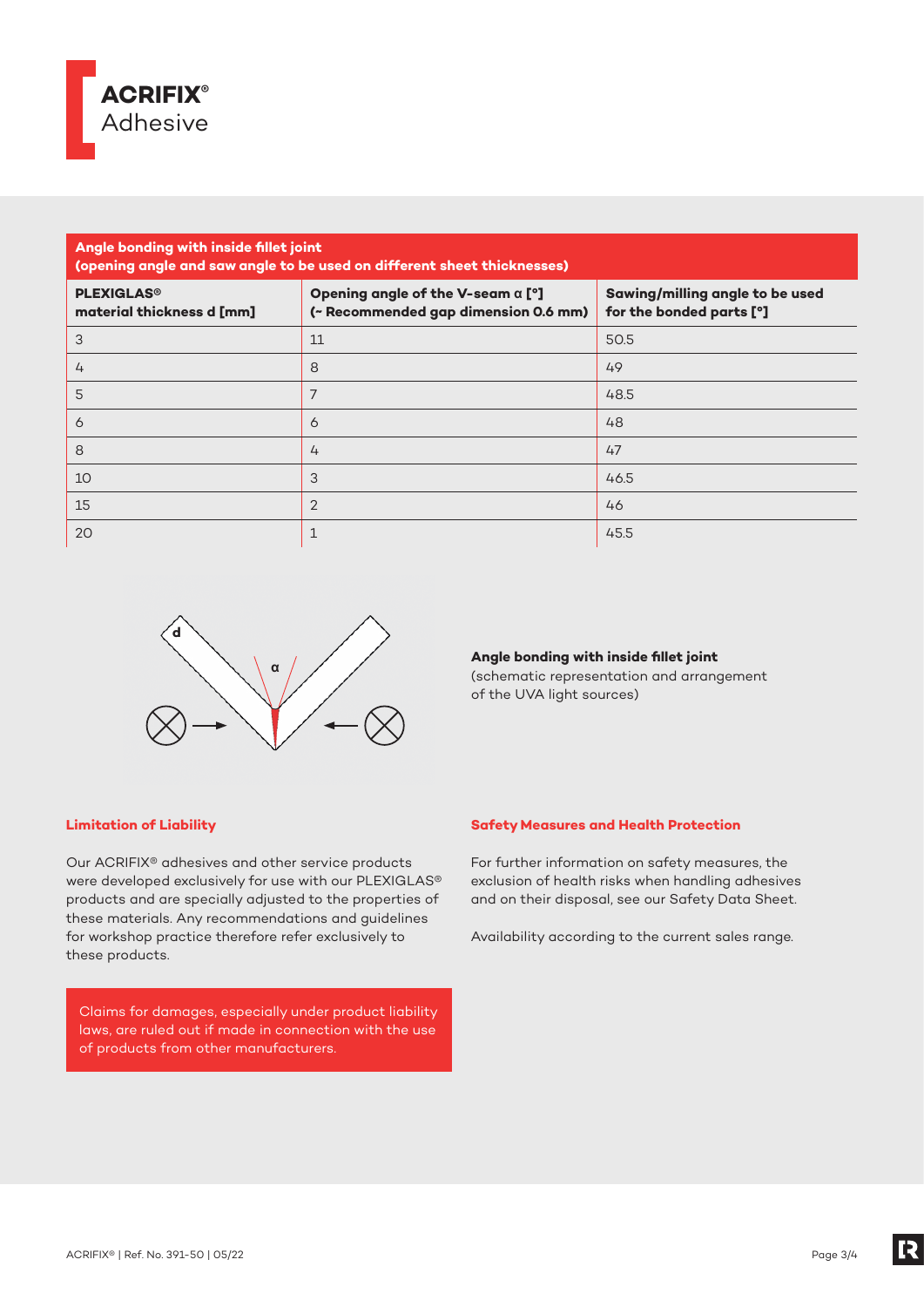

# **Angle bonding with inside fillet joint (opening angle and saw angle to be used on different sheet thicknesses) PLEXIGLAS® material thickness d [mm] Opening angle of the V-seam α [°] (~ Recommended gap dimension 0.6 mm) Sawing/milling angle to be used for the bonded parts [°]** 3  $\vert$  11  $\vert$  50.5  $\vert$  50.5  $\vert$  50.5  $\vert$  50.5  $\vert$  50.5  $\vert$  50.5  $\vert$  50.5  $\vert$  50.5  $\vert$  50.5  $\vert$  50.5  $\vert$  50.5  $\vert$  50.5  $\vert$  50.5  $\vert$  50.5  $\vert$  50.5  $\vert$  50.5  $\vert$  50.5  $\vert$  50.5  $\vert$  50.5  $\vert$  50.5  $\vert$  50.5 4 8 49 5 **5** 48.5 6 and 1980 **6 and 1980 in the U.S. Co. 2006 6 and 1980 6 and 1980 48** 8 **8** 47 10  $\vert$  3  $\vert$  46.5 15 2  $\sqrt{2}$  46 20  $1$  45.5



**Angle bonding with inside fillet joint** 

(schematic representation and arrangement of the UVA light sources)

# **Limitation of Liability**

Our ACRIFIX® adhesives and other service products were developed exclusively for use with our PLEXIGLAS® products and are specially adjusted to the properties of these materials. Any recommendations and guidelines for workshop practice therefore refer exclusively to these products.

Claims for damages, especially under product liability laws, are ruled out if made in connection with the use of products from other manufacturers.

# **Safety Measures and Health Protection**

For further information on safety measures, the exclusion of health risks when handling adhesives and on their disposal, see our Safety Data Sheet.

Availability according to the current sales range.

[2